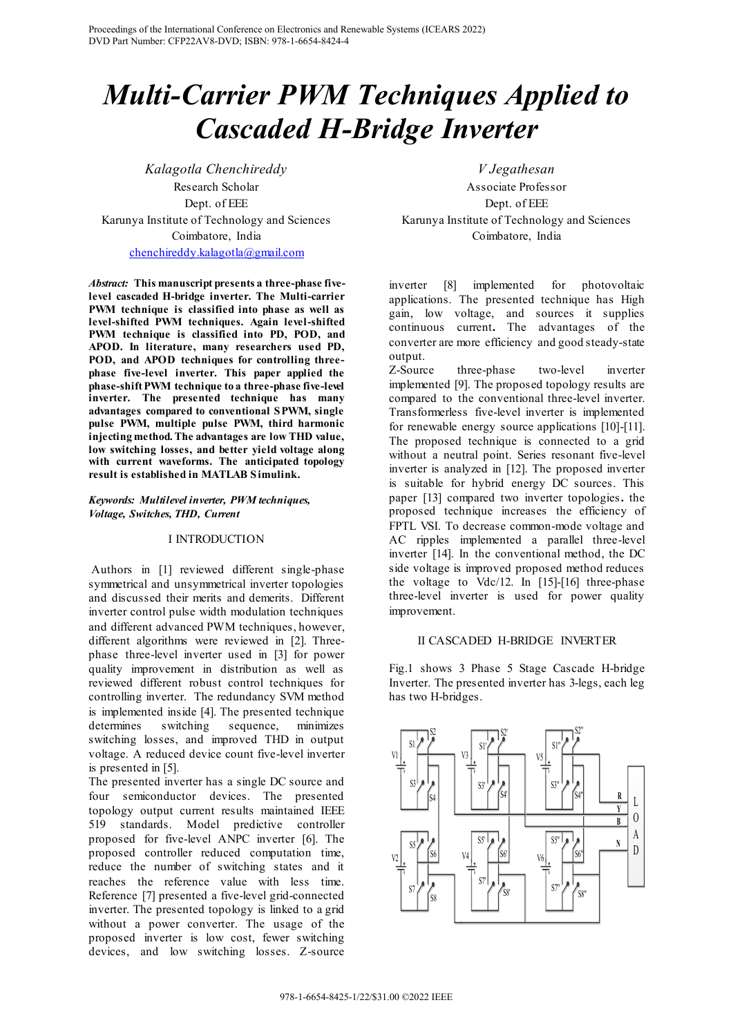# Multi-Carrier PWM Techniques Applied to Cascaded H-Bridge Inverter

Kalagotla Chenchireddy Research Scholar Dept. of EEE Karunya Institute of Technology and Sciences Coimbatore, India chenchireddy.kalagotla@gmail.com

Abstract: This manuscript presents a three-phase fivelevel cascaded H-bridge inverter. The Multi-carrier PWM technique is classified into phase as well as level-shifted PWM techniques. Again level-shifted PWM technique is classified into PD, POD, and APOD. In literature, many researchers used PD, POD, and APOD techniques for controlling threephase five-level inverter. This paper applied the phase-shift PWM technique to a three-phase five-level inverter. The presented technique has many advantages compared to conventional SPWM, single pulse PWM, multiple pulse PWM, third harmonic injecting method. The advantages are low THD value, low switching losses, and better yield voltage along with current waveforms. The anticipated topology result is established in MATLAB Simulink.

# Keywords: Multilevel inverter, PWM techniques, Voltage, Switches, THD, Current

### I INTRODUCTION

 Authors in [1] reviewed different single-phase symmetrical and unsymmetrical inverter topologies and discussed their merits and demerits. Different inverter control pulse width modulation techniques and different advanced PWM techniques, however, different algorithms were reviewed in [2]. Threephase three-level inverter used in [3] for power quality improvement in distribution as well as reviewed different robust control techniques for controlling inverter. The redundancy SVM method is implemented inside [4]. The presented technique determines switching sequence, minimizes switching losses, and improved THD in output voltage. A reduced device count five-level inverter is presented in [5].

The presented inverter has a single DC source and four semiconductor devices. The presented topology output current results maintained IEEE 519 standards. Model predictive controller proposed for five-level ANPC inverter [6]. The proposed controller reduced computation time, reduce the number of switching states and it reaches the reference value with less time. Reference [7] presented a five-level grid-connected inverter. The presented topology is linked to a grid without a power converter. The usage of the proposed inverter is low cost, fewer switching devices, and low switching losses. Z-source

V Jegathesan Associate Professor Dept. of EEE Karunya Institute of Technology and Sciences Coimbatore, India

inverter [8] implemented for photovoltaic applications. The presented technique has High gain, low voltage, and sources it supplies continuous current. The advantages of the converter are more efficiency and good steady-state output.

Z-Source three-phase two-level inverter implemented [9]. The proposed topology results are compared to the conventional three-level inverter. Transformerless five-level inverter is implemented for renewable energy source applications [10]-[11]. The proposed technique is connected to a grid without a neutral point. Series resonant five-level inverter is analyzed in [12]. The proposed inverter is suitable for hybrid energy DC sources. This paper [13] compared two inverter topologies. the proposed technique increases the efficiency of FPTL VSI. To decrease common-mode voltage and AC ripples implemented a parallel three-level inverter [14]. In the conventional method, the DC side voltage is improved proposed method reduces the voltage to Vdc/12. In [15]-[16] three-phase three-level inverter is used for power quality improvement.

# II CASCADED H-BRIDGE INVERTER

Fig.1 shows 3 Phase 5 Stage Cascade H-bridge Inverter. The presented inverter has 3-legs, each leg has two H-bridges.

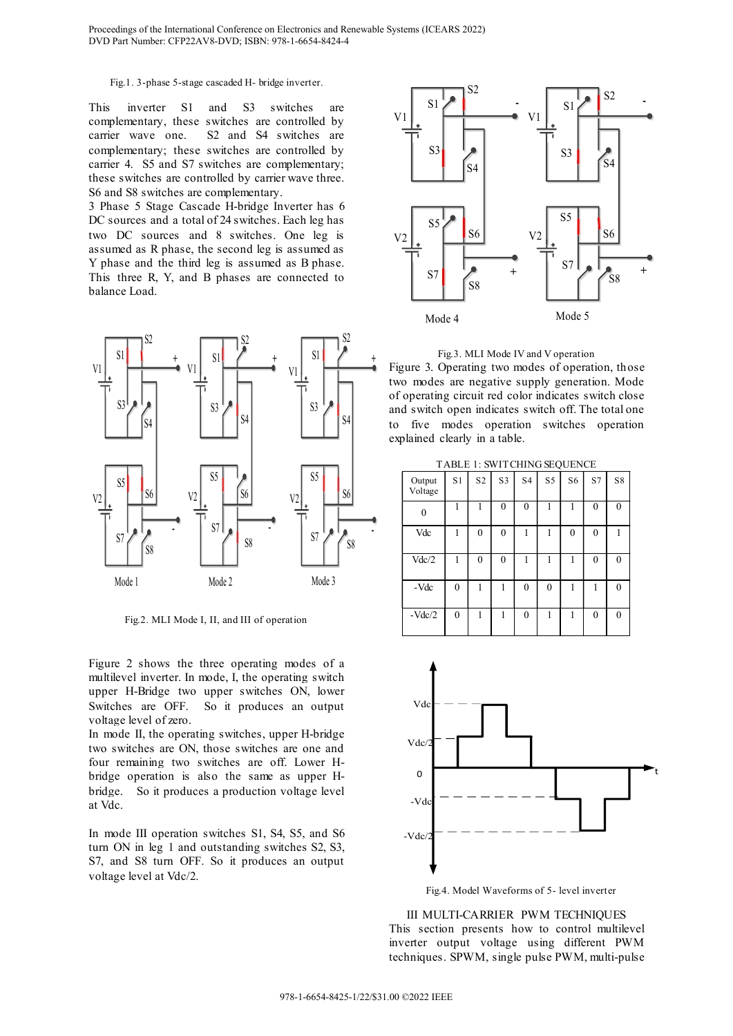#### Fig.1. 3-phase 5-stage cascaded H- bridge inverter.

This inverter S1 and S3 switches are complementary, these switches are controlled by carrier wave one. S2 and S4 switches are complementary; these switches are controlled by carrier 4. S5 and S7 switches are complementary; these switches are controlled by carrier wave three. S6 and S8 switches are complementary.

3 Phase 5 Stage Cascade H-bridge Inverter has 6 DC sources and a total of 24 switches. Each leg has two DC sources and 8 switches. One leg is assumed as R phase, the second leg is assumed as Y phase and the third leg is assumed as B phase. This three R, Y, and B phases are connected to balance Load.



Fig.2. MLI Mode I, II, and III of operation

Figure 2 shows the three operating modes of a multilevel inverter. In mode, I, the operating switch upper H-Bridge two upper switches ON, lower Switches are OFF. So it produces an output voltage level of zero.

In mode II, the operating switches, upper H-bridge two switches are ON, those switches are one and four remaining two switches are off. Lower Hbridge operation is also the same as upper Hbridge. So it produces a production voltage level at Vdc.

In mode III operation switches S1, S4, S5, and S6 turn ON in leg 1 and outstanding switches S2, S3, S7, and S8 turn OFF. So it produces an output voltage level at Vdc/2.





TABLE 1: SWITCHING SEQUENCE

|               | ∼                 |              |                |                |              |          |                  |              |                  |
|---------------|-------------------|--------------|----------------|----------------|--------------|----------|------------------|--------------|------------------|
| S5<br>S6      | Output<br>Voltage | S1           | S <sub>2</sub> | S <sub>3</sub> | S4           | S5       | S <sub>6</sub>   | S7           | S8               |
|               | $\mathbf{0}$      | н            |                | $\mathbf{0}$   | $\mathbf{0}$ |          |                  | $\mathbf{0}$ | $\mathbf{0}$     |
| ٠<br>S7<br>S8 | Vdc               | 1            | $\mathbf{0}$   | $\mathbf{0}$   | 1            | 1        | $\boldsymbol{0}$ | $\mathbf{0}$ |                  |
|               | Vdc/2             | 1            | $\mathbf{0}$   | $\mathbf{0}$   | 1            | 1        |                  | $\mathbf{0}$ | $\boldsymbol{0}$ |
| Mode 3        | -Vdc              | $\mathbf{0}$ |                |                | $\theta$     | $\theta$ |                  |              | $\mathbf{0}$     |
|               | $-Vdc/2$          | $\mathbf{0}$ | ı              |                | $\mathbf{0}$ | 1        |                  | $\theta$     | $\mathbf{0}$     |



Fig.4. Model Waveforms of 5- level inverter

III MULTI-CARRIER PWM TECHNIQUES This section presents how to control multilevel inverter output voltage using different PWM techniques. SPWM, single pulse PWM, multi-pulse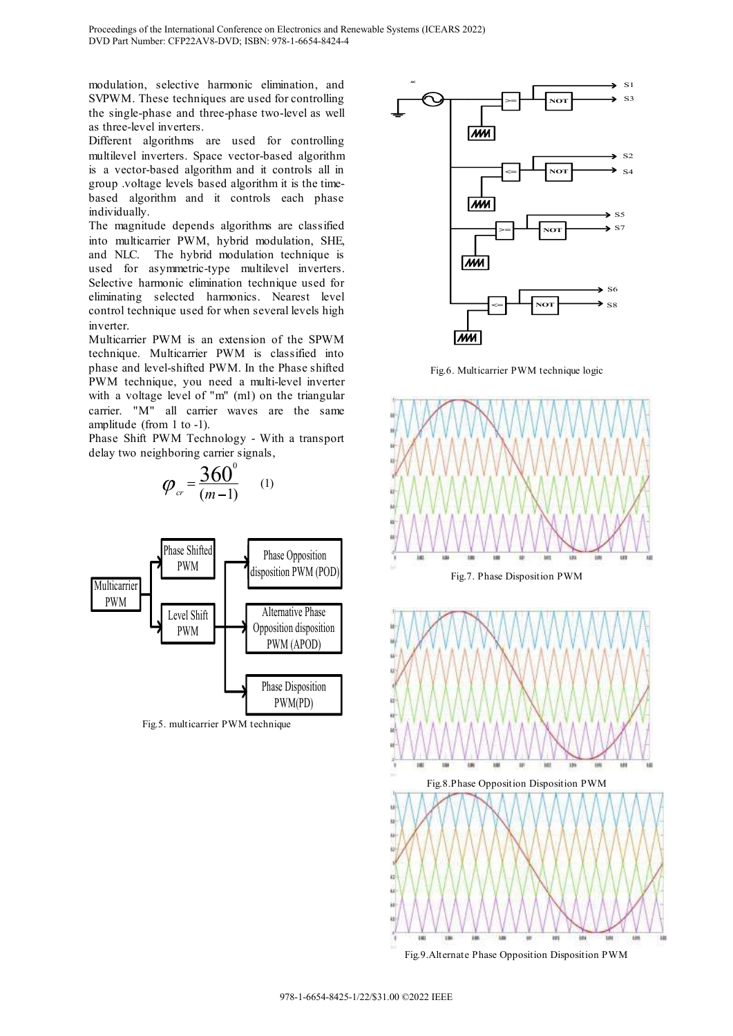modulation, selective harmonic elimination, and SVPWM. These techniques are used for controlling the single-phase and three-phase two-level as well as three-level inverters.

Different algorithms are used for controlling multilevel inverters. Space vector-based algorithm is a vector-based algorithm and it controls all in group .voltage levels based algorithm it is the timebased algorithm and it controls each phase individually.

The magnitude depends algorithms are classified into multicarrier PWM, hybrid modulation, SHE, and NLC. The hybrid modulation technique is used for asymmetric-type multilevel inverters. Selective harmonic elimination technique used for eliminating selected harmonics. Nearest level control technique used for when several levels high inverter.

Multicarrier PWM is an extension of the SPWM technique. Multicarrier PWM is classified into phase and level-shifted PWM. In the Phase shifted PWM technique, you need a multi-level inverter with a voltage level of "m" (m1) on the triangular carrier. "M" all carrier waves are the same amplitude (from 1 to -1).

Phase Shift PWM Technology - With a transport delay two neighboring carrier signals,

$$
\varphi_{cr} = \frac{360^{\circ}}{(m-1)} \qquad (1)
$$



Fig.5. multicarrier PWM technique



Fig.6. Multicarrier PWM technique logic



Fig.9.Alternate Phase Opposition Disposition PWM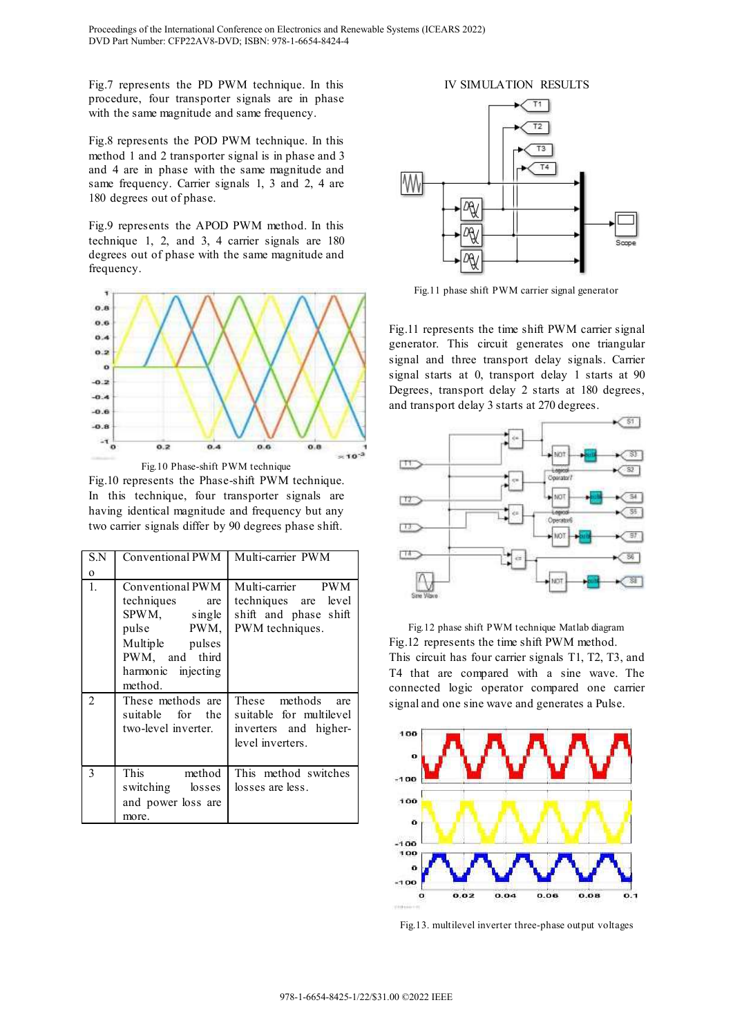Fig.7 represents the PD PWM technique. In this procedure, four transporter signals are in phase with the same magnitude and same frequency.

Fig.8 represents the POD PWM technique. In this method 1 and 2 transporter signal is in phase and 3 and 4 are in phase with the same magnitude and same frequency. Carrier signals 1, 3 and 2, 4 are 180 degrees out of phase.

Fig.9 represents the APOD PWM method. In this technique 1, 2, and 3, 4 carrier signals are 180 degrees out of phase with the same magnitude and frequency.



Fig.10 represents the Phase-shift PWM technique. In this technique, four transporter signals are having identical magnitude and frequency but any two carrier signals differ by 90 degrees phase shift.

| S.N            | Conventional PWM                                                                                                                       | Multi-carrier PWM                                                                         |
|----------------|----------------------------------------------------------------------------------------------------------------------------------------|-------------------------------------------------------------------------------------------|
| $\mathbf{o}$   |                                                                                                                                        |                                                                                           |
| 1.             | Conventional PWM<br>techniques are<br>SPWM, single<br>pulse PWM,<br>Multiple pulses<br>PWM, and third<br>harmonic injecting<br>method. | Multi-carrier PWM<br>techniques are level<br>shift and phase shift<br>PWM techniques.     |
| $\mathfrak{D}$ | These methods are<br>suitable for the<br>two-level inverter.                                                                           | These methods are<br>suitable for multilevel<br>inverters and higher-<br>level inverters. |
| 3              | This<br>method<br>switching losses<br>and power loss are<br>more.                                                                      | This method switches<br>losses are less.                                                  |



Fig.11 phase shift PWM carrier signal generator

Fig.11 represents the time shift PWM carrier signal generator. This circuit generates one triangular signal and three transport delay signals. Carrier signal starts at 0, transport delay 1 starts at 90 Degrees, transport delay 2 starts at 180 degrees, and transport delay 3 starts at 270 degrees.



Fig.12 phase shift PWM technique Matlab diagram Fig.12 represents the time shift PWM method. This circuit has four carrier signals T1, T2, T3, and T4 that are compared with a sine wave. The connected logic operator compared one carrier signal and one sine wave and generates a Pulse.



Fig.13. multilevel inverter three-phase output voltages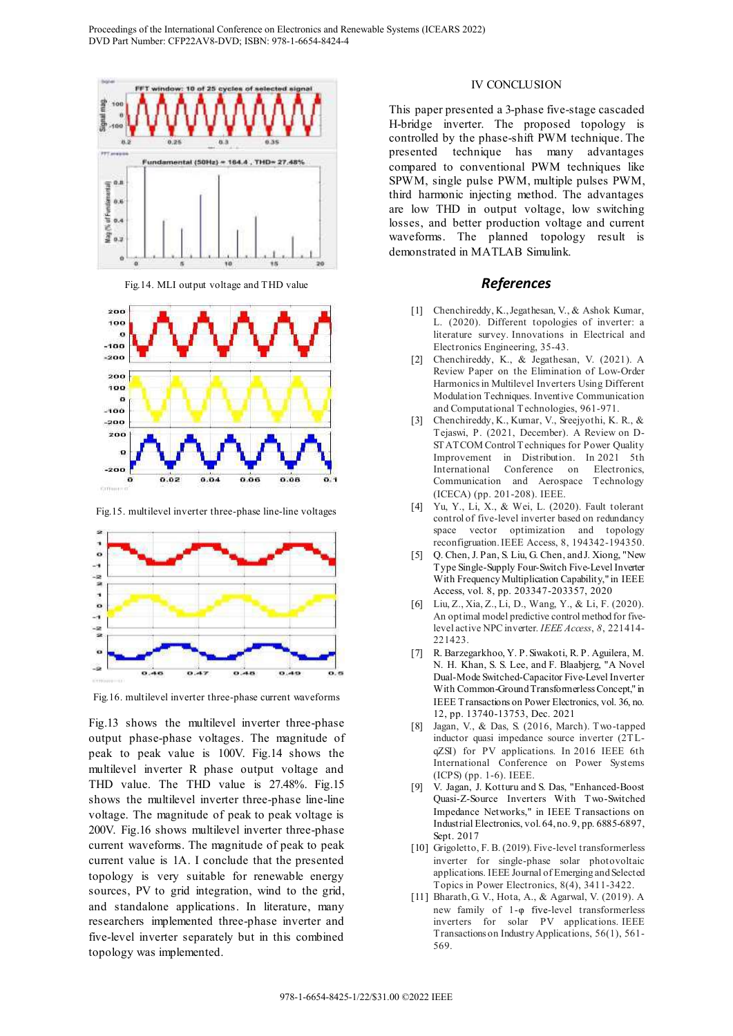

Fig.14. MLI output voltage and THD value



Fig.15. multilevel inverter three-phase line-line voltages



Fig.16. multilevel inverter three-phase current waveforms

Fig.13 shows the multilevel inverter three-phase output phase-phase voltages. The magnitude of peak to peak value is 100V. Fig.14 shows the multilevel inverter R phase output voltage and THD value. The THD value is 27.48%. Fig.15 shows the multilevel inverter three-phase line-line voltage. The magnitude of peak to peak voltage is 200V. Fig.16 shows multilevel inverter three-phase current waveforms. The magnitude of peak to peak current value is 1A. I conclude that the presented topology is very suitable for renewable energy sources, PV to grid integration, wind to the grid, and standalone applications. In literature, many researchers implemented three-phase inverter and five-level inverter separately but in this combined topology was implemented.

#### IV CONCLUSION

This paper presented a 3-phase five-stage cascaded H-bridge inverter. The proposed topology is controlled by the phase-shift PWM technique. The presented technique has many advantages compared to conventional PWM techniques like SPWM, single pulse PWM, multiple pulses PWM, third harmonic injecting method. The advantages are low THD in output voltage, low switching losses, and better production voltage and current waveforms. The planned topology result is demonstrated in MATLAB Simulink.

## References

- [1] Chenchireddy, K., Jegathesan, V., & Ashok Kumar, L. (2020). Different topologies of inverter: a literature survey. Innovations in Electrical and Electronics Engineering, 35-43.
- [2] Chenchireddy, K., & Jegathesan, V. (2021). A Review Paper on the Elimination of Low-Order Harmonics in Multilevel Inverters Using Different Modulation Techniques. Inventive Communication and Computational Technologies, 961-971.
- [3] Chenchireddy, K., Kumar, V., Sreejyothi, K. R., & Tejaswi, P. (2021, December). A Review on D-STATCOM Control Techniques for Power Quality Improvement in Distribution. In 2021 5th International Conference on Electronics, Communication and Aerospace Technology (ICECA) (pp. 201-208). IEEE.
- [4] Yu, Y., Li, X., & Wei, L. (2020). Fault tolerant control of five-level inverter based on redundancy space vector optimization and topology reconfigruation. IEEE Access, 8, 194342-194350.
- [5] Q. Chen, J. Pan, S. Liu, G. Chen, and J. Xiong, "New Type Single-Supply Four-Switch Five-Level Inverter With Frequency Multiplication Capability," in IEEE Access, vol. 8, pp. 203347-203357, 2020
- [6] Liu, Z., Xia, Z., Li, D., Wang, Y., & Li, F. (2020). An optimal model predictive control method for fivelevel active NPC inverter. IEEE Access, 8, 221414- 221423.
- [7] R. Barzegarkhoo, Y. P. Siwakoti, R. P. Aguilera, M. N. H. Khan, S. S. Lee, and F. Blaabjerg, "A Novel Dual-Mode Switched-Capacitor Five-Level Inverter With Common-Ground Transformerless Concept," in IEEE Transactions on Power Electronics, vol. 36, no. 12, pp. 13740-13753, Dec. 2021
- [8] Jagan, V., & Das, S. (2016, March). Two-tapped inductor quasi impedance source inverter (2TLqZSI) for PV applications. In 2016 IEEE 6th International Conference on Power Systems (ICPS) (pp. 1-6). IEEE.
- [9] V. Jagan, J. Kotturu and S. Das, "Enhanced-Boost Quasi-Z-Source Inverters With Two-Switched Impedance Networks," in IEEE Transactions on Industrial Electronics, vol. 64, no. 9, pp. 6885-6897, Sept. 2017
- [10] Grigoletto, F. B. (2019). Five-level transformerless inverter for single-phase solar photovoltaic applications. IEEE Journal of Emerging and Selected Topics in Power Electronics, 8(4), 3411-3422.
- [11] Bharath, G. V., Hota, A., & Agarwal, V. (2019). A new family of  $1-\varphi$  five-level transformerless inverters for solar PV applications. IEEE Transactions on Industry Applications, 56(1), 561- 569.